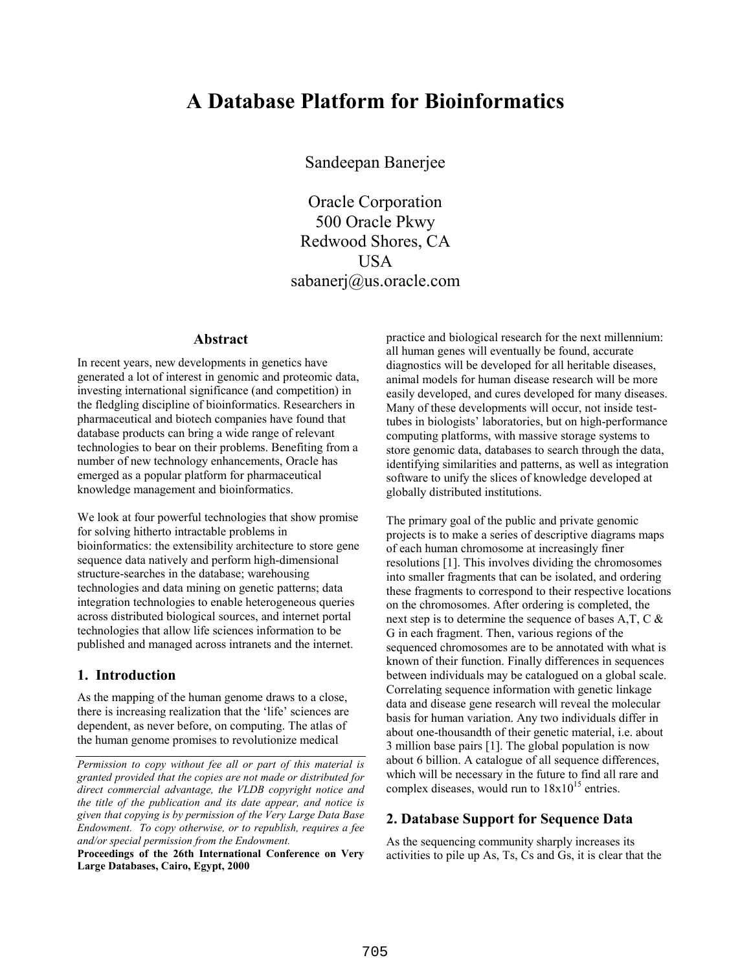# **A Database Platform for Bioinformatics**

Sandeepan Banerjee

Oracle Corporation 500 Oracle Pkwy Redwood Shores, CA USA sabanerj@us.oracle.com

#### **Abstract**

In recent years, new developments in genetics have generated a lot of interest in genomic and proteomic data, investing international significance (and competition) in the fledgling discipline of bioinformatics. Researchers in pharmaceutical and biotech companies have found that database products can bring a wide range of relevant technologies to bear on their problems. Benefiting from a number of new technology enhancements, Oracle has emerged as a popular platform for pharmaceutical knowledge management and bioinformatics.

We look at four powerful technologies that show promise for solving hitherto intractable problems in bioinformatics: the extensibility architecture to store gene sequence data natively and perform high-dimensional structure-searches in the database; warehousing technologies and data mining on genetic patterns; data integration technologies to enable heterogeneous queries across distributed biological sources, and internet portal technologies that allow life sciences information to be published and managed across intranets and the internet.

## **1. Introduction**

As the mapping of the human genome draws to a close, there is increasing realization that the 'life' sciences are dependent, as never before, on computing. The atlas of the human genome promises to revolutionize medical

**Proceedings of the 26th International Conference on Very Large Databases, Cairo, Egypt, 2000** 

practice and biological research for the next millennium: all human genes will eventually be found, accurate diagnostics will be developed for all heritable diseases, animal models for human disease research will be more easily developed, and cures developed for many diseases. Many of these developments will occur, not inside testtubes in biologists' laboratories, but on high-performance computing platforms, with massive storage systems to store genomic data, databases to search through the data, identifying similarities and patterns, as well as integration software to unify the slices of knowledge developed at globally distributed institutions.

The primary goal of the public and private genomic projects is to make a series of descriptive diagrams maps of each human chromosome at increasingly finer resolutions [1]. This involves dividing the chromosomes into smaller fragments that can be isolated, and ordering these fragments to correspond to their respective locations on the chromosomes. After ordering is completed, the next step is to determine the sequence of bases A,T, C & G in each fragment. Then, various regions of the sequenced chromosomes are to be annotated with what is known of their function. Finally differences in sequences between individuals may be catalogued on a global scale. Correlating sequence information with genetic linkage data and disease gene research will reveal the molecular basis for human variation. Any two individuals differ in about one-thousandth of their genetic material, i.e. about 3 million base pairs [1]. The global population is now about 6 billion. A catalogue of all sequence differences, which will be necessary in the future to find all rare and complex diseases, would run to  $18x10^{15}$  entries.

## **2. Database Support for Sequence Data**

As the sequencing community sharply increases its activities to pile up As, Ts, Cs and Gs, it is clear that the

*Permission to copy without fee all or part of this material is granted provided that the copies are not made or distributed for direct commercial advantage, the VLDB copyright notice and the title of the publication and its date appear, and notice is given that copying is by permission of the Very Large Data Base Endowment. To copy otherwise, or to republish, requires a fee and/or special permission from the Endowment.*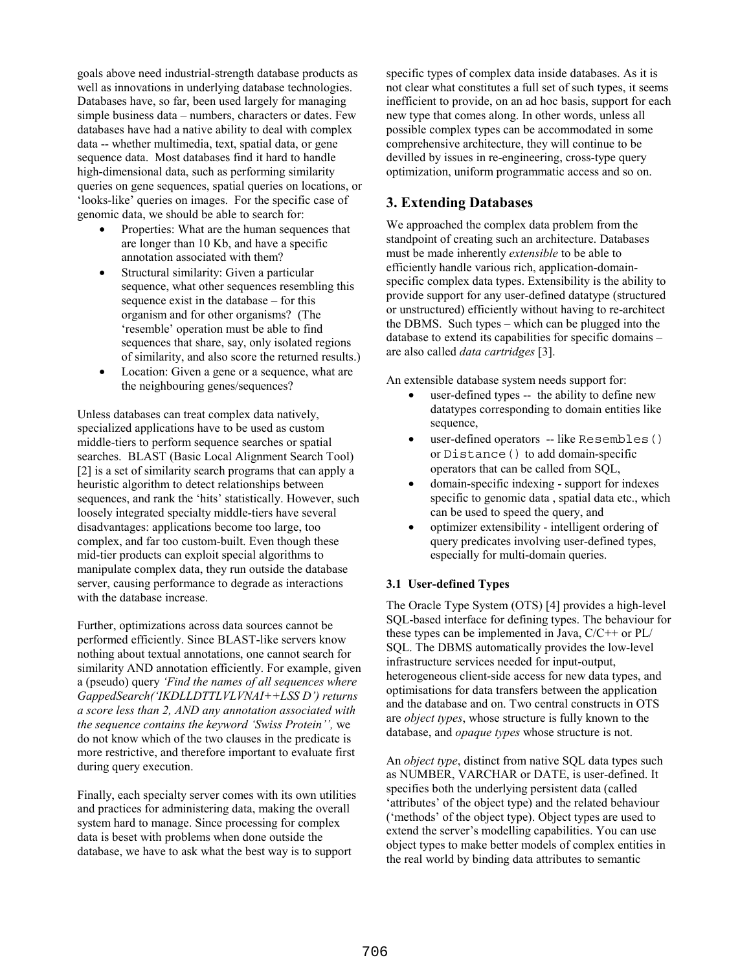goals above need industrial-strength database products as well as innovations in underlying database technologies. Databases have, so far, been used largely for managing simple business data – numbers, characters or dates. Few databases have had a native ability to deal with complex data -- whether multimedia, text, spatial data, or gene sequence data. Most databases find it hard to handle high-dimensional data, such as performing similarity queries on gene sequences, spatial queries on locations, or 'looks-like' queries on images. For the specific case of genomic data, we should be able to search for:

- Properties: What are the human sequences that are longer than 10 Kb, and have a specific annotation associated with them?
- Structural similarity: Given a particular sequence, what other sequences resembling this sequence exist in the database – for this organism and for other organisms? (The 'resemble' operation must be able to find sequences that share, say, only isolated regions of similarity, and also score the returned results.)
- Location: Given a gene or a sequence, what are the neighbouring genes/sequences?

Unless databases can treat complex data natively, specialized applications have to be used as custom middle-tiers to perform sequence searches or spatial searches. BLAST (Basic Local Alignment Search Tool) [2] is a set of similarity search programs that can apply a heuristic algorithm to detect relationships between sequences, and rank the 'hits' statistically. However, such loosely integrated specialty middle-tiers have several disadvantages: applications become too large, too complex, and far too custom-built. Even though these mid-tier products can exploit special algorithms to manipulate complex data, they run outside the database server, causing performance to degrade as interactions with the database increase.

Further, optimizations across data sources cannot be performed efficiently. Since BLAST-like servers know nothing about textual annotations, one cannot search for similarity AND annotation efficiently. For example, given a (pseudo) query *'Find the names of all sequences where GappedSearch('IKDLLDTTLVLVNAI++LSS D') returns a score less than 2, AND any annotation associated with the sequence contains the keyword 'Swiss Protein'',* we do not know which of the two clauses in the predicate is more restrictive, and therefore important to evaluate first during query execution.

Finally, each specialty server comes with its own utilities and practices for administering data, making the overall system hard to manage. Since processing for complex data is beset with problems when done outside the database, we have to ask what the best way is to support

specific types of complex data inside databases. As it is not clear what constitutes a full set of such types, it seems inefficient to provide, on an ad hoc basis, support for each new type that comes along. In other words, unless all possible complex types can be accommodated in some comprehensive architecture, they will continue to be devilled by issues in re-engineering, cross-type query optimization, uniform programmatic access and so on.

# **3. Extending Databases**

We approached the complex data problem from the standpoint of creating such an architecture. Databases must be made inherently *extensible* to be able to efficiently handle various rich, application-domainspecific complex data types. Extensibility is the ability to provide support for any user-defined datatype (structured or unstructured) efficiently without having to re-architect the DBMS. Such types – which can be plugged into the database to extend its capabilities for specific domains – are also called *data cartridges* [3].

An extensible database system needs support for:

- user-defined types -- the ability to define new datatypes corresponding to domain entities like sequence,
- user-defined operators -- like Resembles() or Distance() to add domain-specific operators that can be called from SQL,
- domain-specific indexing support for indexes specific to genomic data , spatial data etc., which can be used to speed the query, and
- optimizer extensibility intelligent ordering of query predicates involving user-defined types, especially for multi-domain queries.

#### **3.1 User-defined Types**

The Oracle Type System (OTS) [4] provides a high-level SQL-based interface for defining types. The behaviour for these types can be implemented in Java, C/C++ or PL/ SQL. The DBMS automatically provides the low-level infrastructure services needed for input-output, heterogeneous client-side access for new data types, and optimisations for data transfers between the application and the database and on. Two central constructs in OTS are *object types*, whose structure is fully known to the database, and *opaque types* whose structure is not.

An *object type*, distinct from native SQL data types such as NUMBER, VARCHAR or DATE, is user-defined. It specifies both the underlying persistent data (called 'attributes' of the object type) and the related behaviour ('methods' of the object type). Object types are used to extend the server's modelling capabilities. You can use object types to make better models of complex entities in the real world by binding data attributes to semantic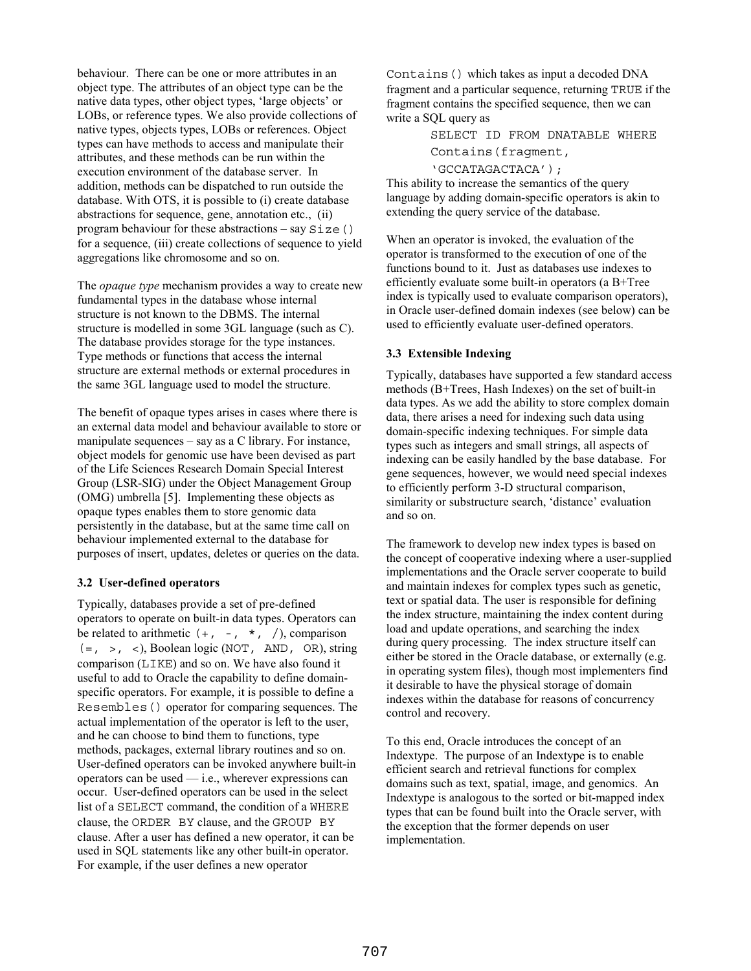behaviour. There can be one or more attributes in an object type. The attributes of an object type can be the native data types, other object types, 'large objects' or LOBs, or reference types. We also provide collections of native types, objects types, LOBs or references. Object types can have methods to access and manipulate their attributes, and these methods can be run within the execution environment of the database server. In addition, methods can be dispatched to run outside the database. With OTS, it is possible to (i) create database abstractions for sequence, gene, annotation etc., (ii) program behaviour for these abstractions  $-$  say  $Size()$ for a sequence, (iii) create collections of sequence to yield aggregations like chromosome and so on.

The *opaque type* mechanism provides a way to create new fundamental types in the database whose internal structure is not known to the DBMS. The internal structure is modelled in some 3GL language (such as C). The database provides storage for the type instances. Type methods or functions that access the internal structure are external methods or external procedures in the same 3GL language used to model the structure.

The benefit of opaque types arises in cases where there is an external data model and behaviour available to store or manipulate sequences – say as a C library. For instance, object models for genomic use have been devised as part of the Life Sciences Research Domain Special Interest Group (LSR-SIG) under the Object Management Group (OMG) umbrella [5]. Implementing these objects as opaque types enables them to store genomic data persistently in the database, but at the same time call on behaviour implemented external to the database for purposes of insert, updates, deletes or queries on the data.

#### **3.2 User-defined operators**

Typically, databases provide a set of pre-defined operators to operate on built-in data types. Operators can be related to arithmetic  $(+, -, *, /)$ , comparison  $(=, >, <)$ , Boolean logic (NOT, AND, OR), string comparison (LIKE) and so on. We have also found it useful to add to Oracle the capability to define domainspecific operators. For example, it is possible to define a Resembles() operator for comparing sequences. The actual implementation of the operator is left to the user, and he can choose to bind them to functions, type methods, packages, external library routines and so on. User-defined operators can be invoked anywhere built-in operators can be used — i.e., wherever expressions can occur. User-defined operators can be used in the select list of a SELECT command, the condition of a WHERE clause, the ORDER BY clause, and the GROUP BY clause. After a user has defined a new operator, it can be used in SQL statements like any other built-in operator. For example, if the user defines a new operator

Contains() which takes as input a decoded DNA fragment and a particular sequence, returning TRUE if the fragment contains the specified sequence, then we can write a SQL query as

> SELECT ID FROM DNATABLE WHERE Contains(fragment, 'GCCATAGACTACA');

This ability to increase the semantics of the query language by adding domain-specific operators is akin to extending the query service of the database.

When an operator is invoked, the evaluation of the operator is transformed to the execution of one of the functions bound to it. Just as databases use indexes to efficiently evaluate some built-in operators (a B+Tree index is typically used to evaluate comparison operators), in Oracle user-defined domain indexes (see below) can be used to efficiently evaluate user-defined operators.

#### **3.3 Extensible Indexing**

Typically, databases have supported a few standard access methods (B+Trees, Hash Indexes) on the set of built-in data types. As we add the ability to store complex domain data, there arises a need for indexing such data using domain-specific indexing techniques. For simple data types such as integers and small strings, all aspects of indexing can be easily handled by the base database. For gene sequences, however, we would need special indexes to efficiently perform 3-D structural comparison, similarity or substructure search, 'distance' evaluation and so on.

The framework to develop new index types is based on the concept of cooperative indexing where a user-supplied implementations and the Oracle server cooperate to build and maintain indexes for complex types such as genetic, text or spatial data. The user is responsible for defining the index structure, maintaining the index content during load and update operations, and searching the index during query processing. The index structure itself can either be stored in the Oracle database, or externally (e.g. in operating system files), though most implementers find it desirable to have the physical storage of domain indexes within the database for reasons of concurrency control and recovery.

To this end, Oracle introduces the concept of an Indextype. The purpose of an Indextype is to enable efficient search and retrieval functions for complex domains such as text, spatial, image, and genomics. An Indextype is analogous to the sorted or bit-mapped index types that can be found built into the Oracle server, with the exception that the former depends on user implementation.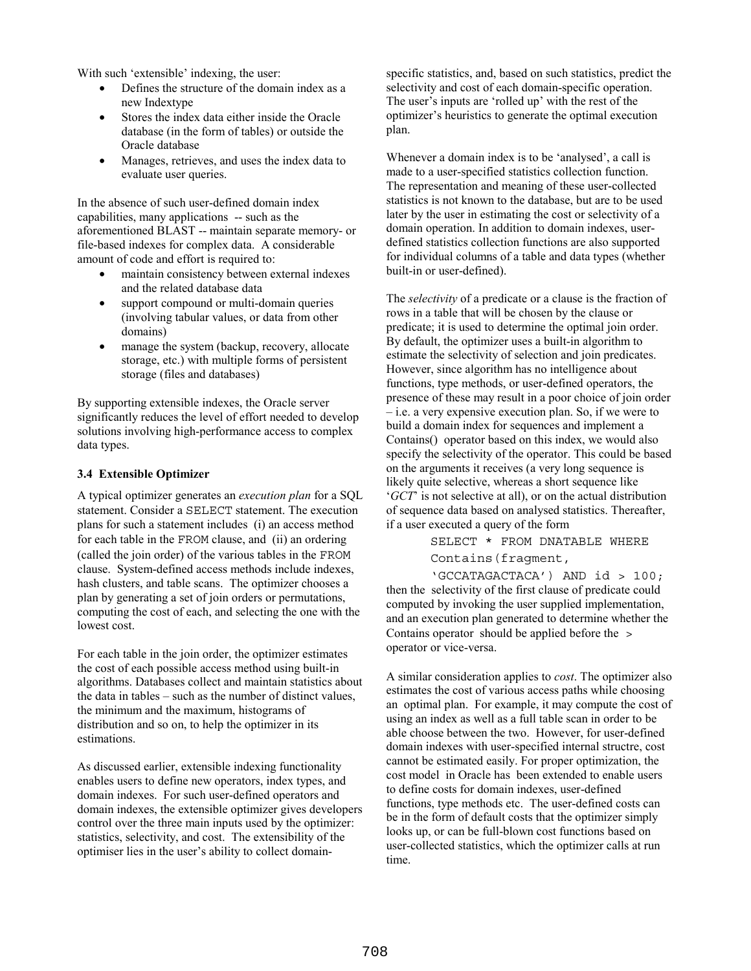With such 'extensible' indexing, the user:

- Defines the structure of the domain index as a new Indextype
- Stores the index data either inside the Oracle database (in the form of tables) or outside the Oracle database
- Manages, retrieves, and uses the index data to evaluate user queries.

In the absence of such user-defined domain index capabilities, many applications -- such as the aforementioned BLAST -- maintain separate memory- or file-based indexes for complex data. A considerable amount of code and effort is required to:

- maintain consistency between external indexes and the related database data
- support compound or multi-domain queries (involving tabular values, or data from other domains)
- manage the system (backup, recovery, allocate storage, etc.) with multiple forms of persistent storage (files and databases)

By supporting extensible indexes, the Oracle server significantly reduces the level of effort needed to develop solutions involving high-performance access to complex data types.

#### **3.4 Extensible Optimizer**

A typical optimizer generates an *execution plan* for a SQL statement. Consider a SELECT statement. The execution plans for such a statement includes (i) an access method for each table in the FROM clause, and (ii) an ordering (called the join order) of the various tables in the FROM clause. System-defined access methods include indexes, hash clusters, and table scans. The optimizer chooses a plan by generating a set of join orders or permutations, computing the cost of each, and selecting the one with the lowest cost.

For each table in the join order, the optimizer estimates the cost of each possible access method using built-in algorithms. Databases collect and maintain statistics about the data in tables – such as the number of distinct values, the minimum and the maximum, histograms of distribution and so on, to help the optimizer in its estimations.

As discussed earlier, extensible indexing functionality enables users to define new operators, index types, and domain indexes. For such user-defined operators and domain indexes, the extensible optimizer gives developers control over the three main inputs used by the optimizer: statistics, selectivity, and cost. The extensibility of the optimiser lies in the user's ability to collect domainspecific statistics, and, based on such statistics, predict the selectivity and cost of each domain-specific operation. The user's inputs are 'rolled up' with the rest of the optimizer's heuristics to generate the optimal execution plan.

Whenever a domain index is to be 'analysed', a call is made to a user-specified statistics collection function. The representation and meaning of these user-collected statistics is not known to the database, but are to be used later by the user in estimating the cost or selectivity of a domain operation. In addition to domain indexes, userdefined statistics collection functions are also supported for individual columns of a table and data types (whether built-in or user-defined).

The *selectivity* of a predicate or a clause is the fraction of rows in a table that will be chosen by the clause or predicate; it is used to determine the optimal join order. By default, the optimizer uses a built-in algorithm to estimate the selectivity of selection and join predicates. However, since algorithm has no intelligence about functions, type methods, or user-defined operators, the presence of these may result in a poor choice of join order – i.e. a very expensive execution plan. So, if we were to build a domain index for sequences and implement a Contains() operator based on this index, we would also specify the selectivity of the operator. This could be based on the arguments it receives (a very long sequence is likely quite selective, whereas a short sequence like '*GCT*' is not selective at all), or on the actual distribution of sequence data based on analysed statistics. Thereafter, if a user executed a query of the form

> SELECT \* FROM DNATABLE WHERE Contains(fragment,

'GCCATAGACTACA') AND id > 100; then the selectivity of the first clause of predicate could computed by invoking the user supplied implementation, and an execution plan generated to determine whether the Contains operator should be applied before the > operator or vice-versa.

A similar consideration applies to *cost*. The optimizer also estimates the cost of various access paths while choosing an optimal plan. For example, it may compute the cost of using an index as well as a full table scan in order to be able choose between the two. However, for user-defined domain indexes with user-specified internal structre, cost cannot be estimated easily. For proper optimization, the cost model in Oracle has been extended to enable users to define costs for domain indexes, user-defined functions, type methods etc. The user-defined costs can be in the form of default costs that the optimizer simply looks up, or can be full-blown cost functions based on user-collected statistics, which the optimizer calls at run time.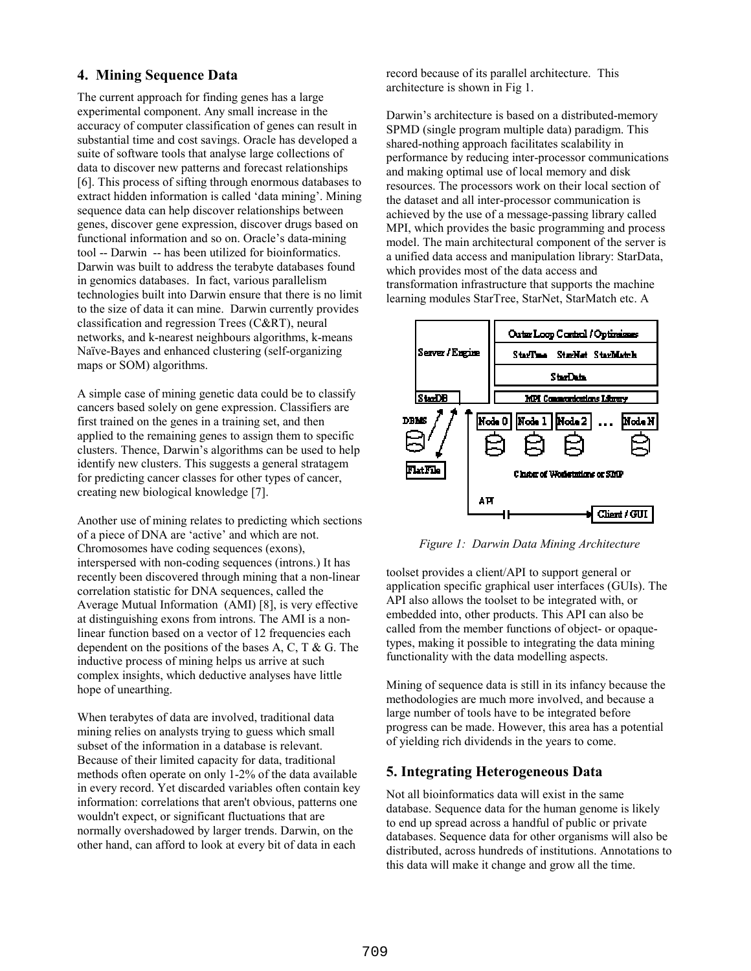## **4. Mining Sequence Data**

The current approach for finding genes has a large experimental component. Any small increase in the accuracy of computer classification of genes can result in substantial time and cost savings. Oracle has developed a suite of software tools that analyse large collections of data to discover new patterns and forecast relationships [6]. This process of sifting through enormous databases to extract hidden information is called 'data mining'. Mining sequence data can help discover relationships between genes, discover gene expression, discover drugs based on functional information and so on. Oracle's data-mining tool -- Darwin -- has been utilized for bioinformatics. Darwin was built to address the terabyte databases found in genomics databases. In fact, various parallelism technologies built into Darwin ensure that there is no limit to the size of data it can mine. Darwin currently provides classification and regression Trees (C&RT), neural networks, and k-nearest neighbours algorithms, k-means Naïve-Bayes and enhanced clustering (self-organizing maps or SOM) algorithms.

A simple case of mining genetic data could be to classify cancers based solely on gene expression. Classifiers are first trained on the genes in a training set, and then applied to the remaining genes to assign them to specific clusters. Thence, Darwin's algorithms can be used to help identify new clusters. This suggests a general stratagem for predicting cancer classes for other types of cancer, creating new biological knowledge [7].

Another use of mining relates to predicting which sections of a piece of DNA are 'active' and which are not. Chromosomes have coding sequences (exons), interspersed with non-coding sequences (introns.) It has recently been discovered through mining that a non-linear correlation statistic for DNA sequences, called the Average Mutual Information (AMI) [8], is very effective at distinguishing exons from introns. The AMI is a nonlinear function based on a vector of 12 frequencies each dependent on the positions of the bases A, C, T  $\&$  G. The inductive process of mining helps us arrive at such complex insights, which deductive analyses have little hope of unearthing.

When terabytes of data are involved, traditional data mining relies on analysts trying to guess which small subset of the information in a database is relevant. Because of their limited capacity for data, traditional methods often operate on only 1-2% of the data available in every record. Yet discarded variables often contain key information: correlations that aren't obvious, patterns one wouldn't expect, or significant fluctuations that are normally overshadowed by larger trends. Darwin, on the other hand, can afford to look at every bit of data in each

record because of its parallel architecture. This architecture is shown in Fig 1.

Darwin's architecture is based on a distributed-memory SPMD (single program multiple data) paradigm. This shared-nothing approach facilitates scalability in performance by reducing inter-processor communications and making optimal use of local memory and disk resources. The processors work on their local section of the dataset and all inter-processor communication is achieved by the use of a message-passing library called MPI, which provides the basic programming and process model. The main architectural component of the server is a unified data access and manipulation library: StarData, which provides most of the data access and transformation infrastructure that supports the machine learning modules StarTree, StarNet, StarMatch etc. A



*Figure 1: Darwin Data Mining Architecture* 

toolset provides a client/API to support general or application specific graphical user interfaces (GUIs). The API also allows the toolset to be integrated with, or embedded into, other products. This API can also be called from the member functions of object- or opaquetypes, making it possible to integrating the data mining functionality with the data modelling aspects.

Mining of sequence data is still in its infancy because the methodologies are much more involved, and because a large number of tools have to be integrated before progress can be made. However, this area has a potential of yielding rich dividends in the years to come.

## **5. Integrating Heterogeneous Data**

Not all bioinformatics data will exist in the same database. Sequence data for the human genome is likely to end up spread across a handful of public or private databases. Sequence data for other organisms will also be distributed, across hundreds of institutions. Annotations to this data will make it change and grow all the time.